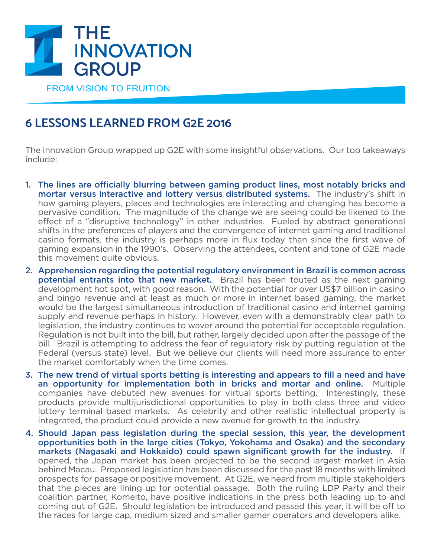

## **6 LESSONS LEARNED FROM G2E 2016**

The Innovation Group wrapped up G2E with some insightful observations. Our top takeaways include:

- 1. The lines are officially blurring between gaming product lines, most notably bricks and mortar versus interactive and lottery versus distributed systems. The industry's shift in how gaming players, places and technologies are interacting and changing has become a pervasive condition. The magnitude of the change we are seeing could be likened to the effect of a "disruptive technology" in other industries. Fueled by abstract generational shifts in the preferences of players and the convergence of internet gaming and traditional casino formats, the industry is perhaps more in flux today than since the first wave of gaming expansion in the 1990's. Observing the attendees, content and tone of G2E made this movement quite obvious.
- 2. Apprehension regarding the potential regulatory environment in Brazil is common across **potential entrants into that new market.** Brazil has been touted as the next gaming development hot spot, with good reason. With the potential for over US\$7 billion in casino and bingo revenue and at least as much or more in internet based gaming, the market would be the largest simultaneous introduction of traditional casino and internet gaming supply and revenue perhaps in history. However, even with a demonstrably clear path to legislation, the industry continues to waver around the potential for acceptable regulation. Regulation is not built into the bill, but rather, largely decided upon after the passage of the bill. Brazil is attempting to address the fear of regulatory risk by putting regulation at the Federal (versus state) level. But we believe our clients will need more assurance to enter the market comfortably when the time comes.
- 3. The new trend of virtual sports betting is interesting and appears to fill a need and have an opportunity for implementation both in bricks and mortar and online. Multiple companies have debuted new avenues for virtual sports betting. Interestingly, these products provide multijurisdictional opportunities to play in both class three and video lottery terminal based markets. As celebrity and other realistic intellectual property is integrated, the product could provide a new avenue for growth to the industry.
- 4. Should Japan pass legislation during the special session, this year, the development opportunities both in the large cities (Tokyo, Yokohama and Osaka) and the secondary markets (Nagasaki and Hokkaido) could spawn significant growth for the industry. If opened, the Japan market has been projected to be the second largest market in Asia behind Macau. Proposed legislation has been discussed for the past 18 months with limited prospects for passage or positive movement. At G2E, we heard from multiple stakeholders that the pieces are lining up for potential passage. Both the ruling LDP Party and their coalition partner, Komeito, have positive indications in the press both leading up to and coming out of G2E. Should legislation be introduced and passed this year, it will be off to the races for large cap, medium sized and smaller gamer operators and developers alike.